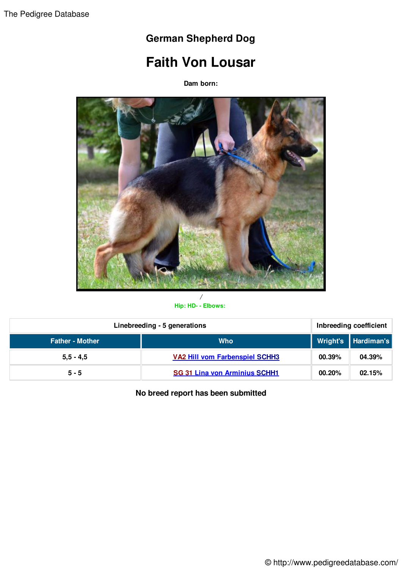## **German Shepherd Dog**

## **Faith Von Lousar**

**Dam born:**



## */* **Hip: HD- - Elbows:**

| Linebreeding - 5 generations |                                       | Inbreeding coefficient |                          |
|------------------------------|---------------------------------------|------------------------|--------------------------|
| <b>Father - Mother</b>       | <b>Who</b>                            |                        | ∣ Wright's ┃Hardiman's ┃ |
| $5,5 - 4,5$                  | <b>VA2 Hill vom Farbenspiel SCHH3</b> | 00.39%                 | 04.39%                   |
| $5 - 5$                      | <b>SG 31 Lina von Arminius SCHH1</b>  | 00.20%                 | 02.15%                   |

**No breed report has been submitted**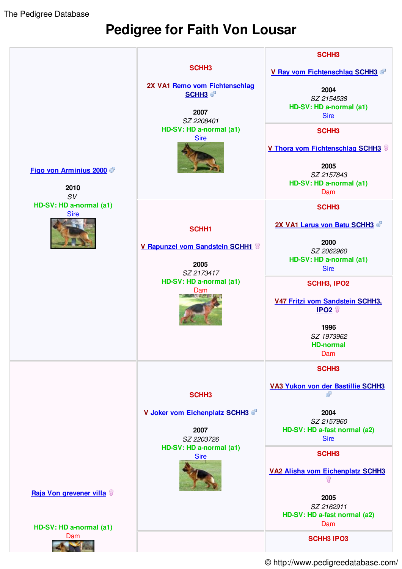The Pedigree Database

## **Pedigree for Faith Von Lousar**



© http://www.pedigreedatabase.com/